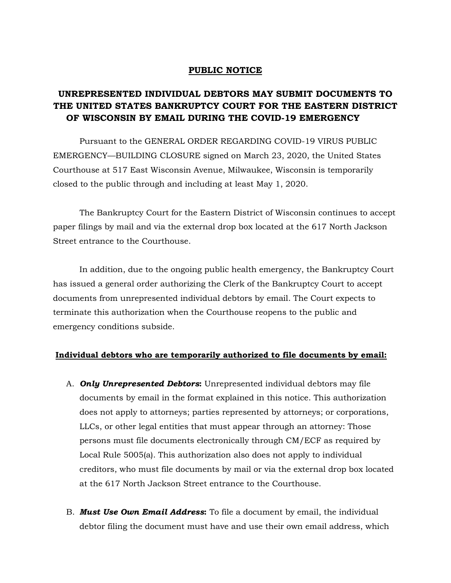## **PUBLIC NOTICE**

# **UNREPRESENTED INDIVIDUAL DEBTORS MAY SUBMIT DOCUMENTS TO THE UNITED STATES BANKRUPTCY COURT FOR THE EASTERN DISTRICT OF WISCONSIN BY EMAIL DURING THE COVID-19 EMERGENCY**

Pursuant to the GENERAL ORDER REGARDING COVID-19 VIRUS PUBLIC EMERGENCY—BUILDING CLOSURE signed on March 23, 2020, the United States Courthouse at 517 East Wisconsin Avenue, Milwaukee, Wisconsin is temporarily closed to the public through and including at least May 1, 2020.

The Bankruptcy Court for the Eastern District of Wisconsin continues to accept paper filings by mail and via the external drop box located at the 617 North Jackson Street entrance to the Courthouse.

In addition, due to the ongoing public health emergency, the Bankruptcy Court has issued a general order authorizing the Clerk of the Bankruptcy Court to accept documents from unrepresented individual debtors by email. The Court expects to terminate this authorization when the Courthouse reopens to the public and emergency conditions subside.

#### **Individual debtors who are temporarily authorized to file documents by email:**

- A. *Only Unrepresented Debtors***:** Unrepresented individual debtors may file documents by email in the format explained in this notice. This authorization does not apply to attorneys; parties represented by attorneys; or corporations, LLCs, or other legal entities that must appear through an attorney: Those persons must file documents electronically through CM/ECF as required by Local Rule 5005(a). This authorization also does not apply to individual creditors, who must file documents by mail or via the external drop box located at the 617 North Jackson Street entrance to the Courthouse.
- B. *Must Use Own Email Address***:** To file a document by email, the individual debtor filing the document must have and use their own email address, which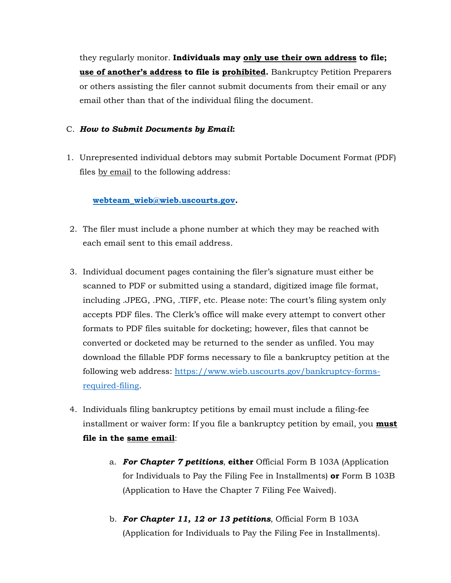they regularly monitor. **Individuals may only use their own address to file; use of another's address to file is prohibited.** Bankruptcy Petition Preparers or others assisting the filer cannot submit documents from their email or any email other than that of the individual filing the document.

# C. *How to Submit Documents by Email***:**

1. Unrepresented individual debtors may submit Portable Document Format (PDF) files by email to the following address:

## **webteam\_wieb@wieb.uscourts.gov.**

- 2. The filer must include a phone number at which they may be reached with each email sent to this email address.
- 3. Individual document pages containing the filer's signature must either be scanned to PDF or submitted using a standard, digitized image file format, including .JPEG, .PNG, .TIFF, etc. Please note: The court's filing system only accepts PDF files. The Clerk's office will make every attempt to convert other formats to PDF files suitable for docketing; however, files that cannot be converted or docketed may be returned to the sender as unfiled. You may download the fillable PDF forms necessary to file a bankruptcy petition at the following web address: https://www.wieb.uscourts.gov/bankruptcy-formsrequired-filing.
- 4. Individuals filing bankruptcy petitions by email must include a filing-fee installment or waiver form: If you file a bankruptcy petition by email, you **must file in the same email**:
	- a. *For Chapter 7 petitions*, **either** Official Form B 103A (Application for Individuals to Pay the Filing Fee in Installments) **or** Form B 103B (Application to Have the Chapter 7 Filing Fee Waived).
	- b. *For Chapter 11, 12 or 13 petitions*, Official Form B 103A (Application for Individuals to Pay the Filing Fee in Installments).